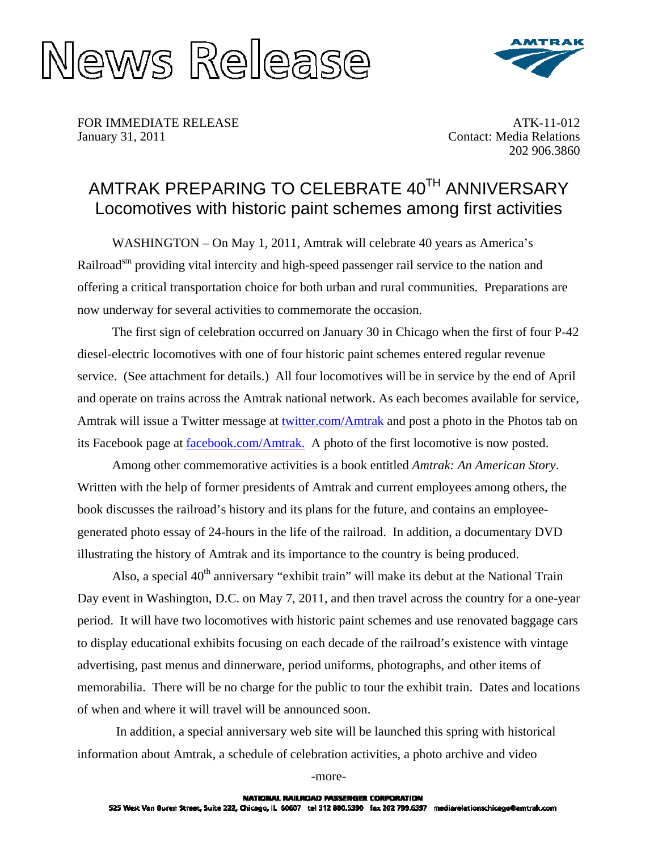



FOR IMMEDIATE RELEASE January 31, 2011

ATK-11-012 Contact: Media Relations 202 906.3860

## AMTRAK PREPARING TO CELEBRATE 40TH ANNIVERSARY Locomotives with historic paint schemes among first activities

WASHINGTON – On May 1, 2011, Amtrak will celebrate 40 years as America's Railroad<sup>sm</sup> providing vital intercity and high-speed passenger rail service to the nation and offering a critical transportation choice for both urban and rural communities. Preparations are now underway for several activities to commemorate the occasion.

The first sign of celebration occurred on January 30 in Chicago when the first of four P-42 diesel-electric locomotives with one of four historic paint schemes entered regular revenue service. (See attachment for details.) All four locomotives will be in service by the end of April and operate on trains across the Amtrak national network. As each becomes available for service, Amtrak will issue a Twitter message at [twitter.com/Amtrak](http://twitter.com/Amtrak) and post a photo in the Photos tab on its Facebook page at [facebook.com/Amtrak.](http://www.facebook.com/Amtrak) A photo of the first locomotive is now posted.

Among other commemorative activities is a book entitled *Amtrak: An American Story*. Written with the help of former presidents of Amtrak and current employees among others, the book discusses the railroad's history and its plans for the future, and contains an employeegenerated photo essay of 24-hours in the life of the railroad. In addition, a documentary DVD illustrating the history of Amtrak and its importance to the country is being produced.

Also, a special 40<sup>th</sup> anniversary "exhibit train" will make its debut at the National Train Day event in Washington, D.C. on May 7, 2011, and then travel across the country for a one-year period. It will have two locomotives with historic paint schemes and use renovated baggage cars to display educational exhibits focusing on each decade of the railroad's existence with vintage advertising, past menus and dinnerware, period uniforms, photographs, and other items of memorabilia. There will be no charge for the public to tour the exhibit train. Dates and locations of when and where it will travel will be announced soon.

 In addition, a special anniversary web site will be launched this spring with historical information about Amtrak, a schedule of celebration activities, a photo archive and video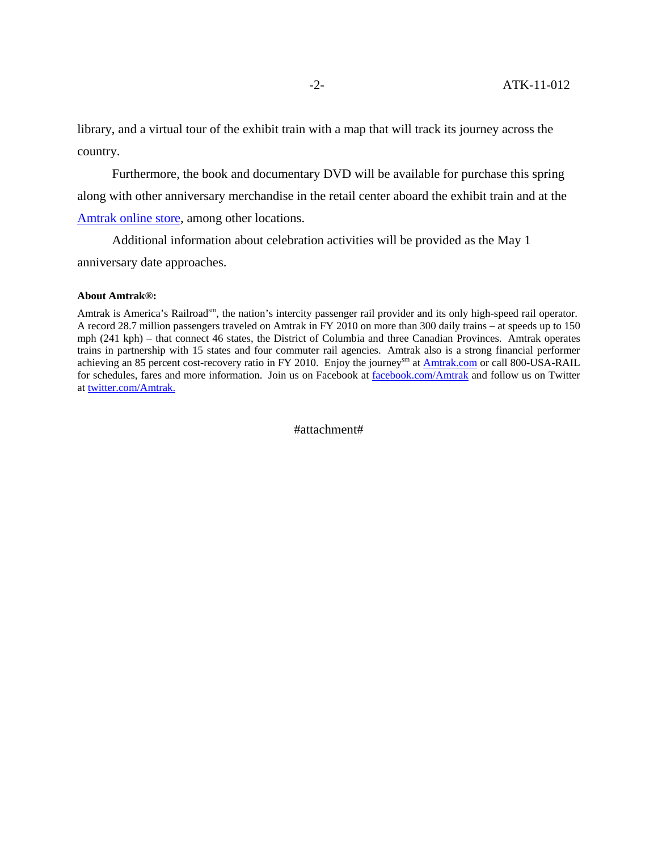library, and a virtual tour of the exhibit train with a map that will track its journey across the country.

Furthermore, the book and documentary DVD will be available for purchase this spring along with other anniversary merchandise in the retail center aboard the exhibit train and at the [Amtrak online store](http://store.amtrak.com/), among other locations.

Additional information about celebration activities will be provided as the May 1 anniversary date approaches.

## **About Amtrak®:**

Amtrak is America's Railroad<sup>sm</sup>, the nation's intercity passenger rail provider and its only high-speed rail operator. A record 28.7 million passengers traveled on Amtrak in FY 2010 on more than 300 daily trains – at speeds up to 150 mph (241 kph) – that connect 46 states, the District of Columbia and three Canadian Provinces. Amtrak operates trains in partnership with 15 states and four commuter rail agencies. Amtrak also is a strong financial performer achieving an 85 percent cost-recovery ratio in FY 2010. Enjoy the journey<sup>sm</sup> at **[Amtrak.com](http://amtrak.com/servlet/ContentServer?pagename=Amtrak/HomePage)** or call 800-USA-RAIL for schedules, fares and more information. Join us on Facebook at [facebook.com/Amtrak](http://www.facebook.com/Amtrak) and follow us on Twitter at [twitter.com/Amtrak.](http://twitter.com/Amtrak)

#attachment#